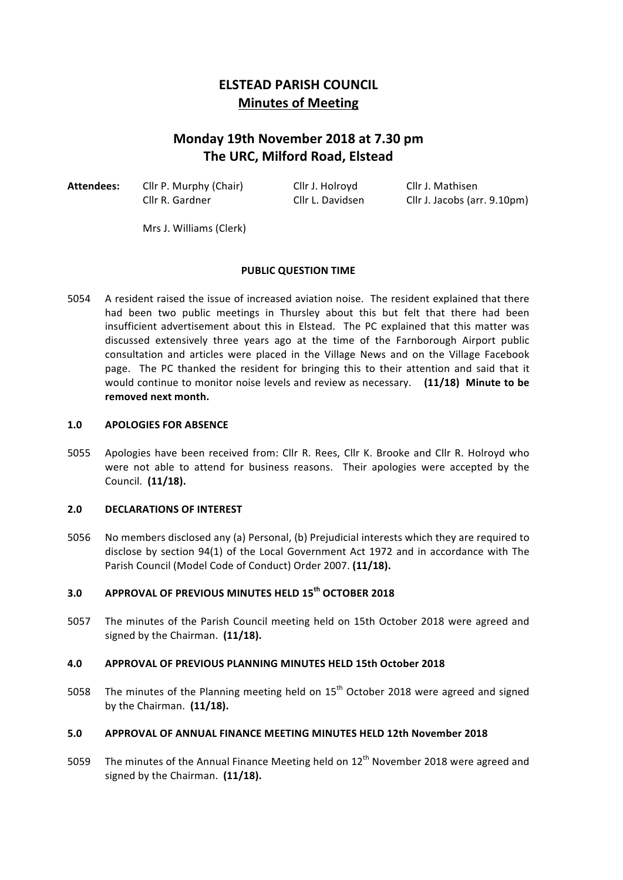# **ELSTEAD PARISH COUNCIL Minutes of Meeting**

# **Monday 19th November 2018 at 7.30 pm The URC, Milford Road, Elstead**

Attendees: Cllr P. Murphy (Chair) Cllr J. Holroyd Cllr J. Mathisen

Cllr R. Gardner Cllr L. Davidsen Cllr J. Jacobs (arr. 9.10pm)

Mrs J. Williams (Clerk)

## **PUBLIC OUESTION TIME**

5054 A resident raised the issue of increased aviation noise. The resident explained that there had been two public meetings in Thursley about this but felt that there had been insufficient advertisement about this in Elstead. The PC explained that this matter was discussed extensively three years ago at the time of the Farnborough Airport public consultation and articles were placed in the Village News and on the Village Facebook page. The PC thanked the resident for bringing this to their attention and said that it would continue to monitor noise levels and review as necessary. (11/18) Minute to be removed next month.

#### 1.0 **APOLOGIES FOR ABSENCE**

5055 Apologies have been received from: Cllr R. Rees, Cllr K. Brooke and Cllr R. Holroyd who were not able to attend for business reasons. Their apologies were accepted by the Council. **(11/18).**

## **2.0 DECLARATIONS OF INTEREST**

5056 No members disclosed any (a) Personal, (b) Prejudicial interests which they are required to disclose by section 94(1) of the Local Government Act 1972 and in accordance with The Parish Council (Model Code of Conduct) Order 2007. (11/18).

## **3.0 APPROVAL OF PREVIOUS MINUTES HELD 15th OCTOBER 2018**

5057 The minutes of the Parish Council meeting held on 15th October 2018 were agreed and signed by the Chairman. (11/18).

## **4.0 APPROVAL OF PREVIOUS PLANNING MINUTES HELD 15th October 2018**

5058 The minutes of the Planning meeting held on  $15<sup>th</sup>$  October 2018 were agreed and signed by the Chairman. (11/18).

## **5.0 APPROVAL OF ANNUAL FINANCE MEETING MINUTES HELD 12th November 2018**

5059 The minutes of the Annual Finance Meeting held on  $12<sup>th</sup>$  November 2018 were agreed and signed by the Chairman. (11/18).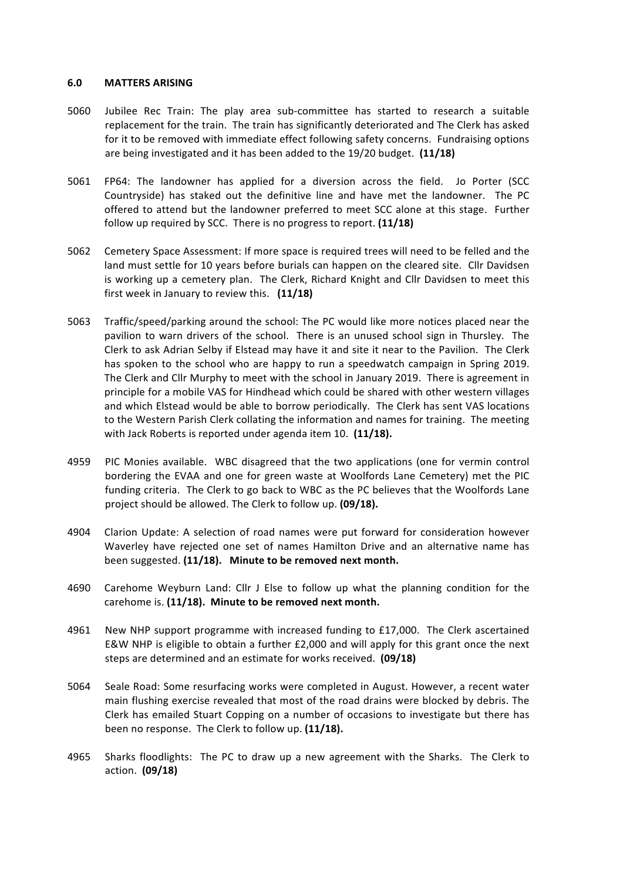#### **6.0 MATTERS ARISING**

- 5060 Jubilee Rec Train: The play area sub-committee has started to research a suitable replacement for the train. The train has significantly deteriorated and The Clerk has asked for it to be removed with immediate effect following safety concerns. Fundraising options are being investigated and it has been added to the 19/20 budget. (11/18)
- 5061 FP64: The landowner has applied for a diversion across the field. Jo Porter (SCC Countryside) has staked out the definitive line and have met the landowner. The PC offered to attend but the landowner preferred to meet SCC alone at this stage. Further follow up required by SCC. There is no progress to report. **(11/18)**
- 5062 Cemetery Space Assessment: If more space is required trees will need to be felled and the land must settle for 10 years before burials can happen on the cleared site. Cllr Davidsen is working up a cemetery plan. The Clerk, Richard Knight and Cllr Davidsen to meet this first week in January to review this. **(11/18)**
- 5063 Traffic/speed/parking around the school: The PC would like more notices placed near the pavilion to warn drivers of the school. There is an unused school sign in Thursley. The Clerk to ask Adrian Selby if Elstead may have it and site it near to the Pavilion. The Clerk has spoken to the school who are happy to run a speedwatch campaign in Spring 2019. The Clerk and Cllr Murphy to meet with the school in January 2019. There is agreement in principle for a mobile VAS for Hindhead which could be shared with other western villages and which Elstead would be able to borrow periodically. The Clerk has sent VAS locations to the Western Parish Clerk collating the information and names for training. The meeting with Jack Roberts is reported under agenda item 10. (11/18).
- 4959 PIC Monies available. WBC disagreed that the two applications (one for vermin control bordering the EVAA and one for green waste at Woolfords Lane Cemetery) met the PIC funding criteria. The Clerk to go back to WBC as the PC believes that the Woolfords Lane project should be allowed. The Clerk to follow up. **(09/18).**
- 4904 Clarion Update: A selection of road names were put forward for consideration however Waverley have rejected one set of names Hamilton Drive and an alternative name has been suggested. (11/18). Minute to be removed next month.
- 4690 Carehome Weyburn Land: Cllr J Else to follow up what the planning condition for the carehome is. (11/18). Minute to be removed next month.
- 4961 New NHP support programme with increased funding to  $£17,000$ . The Clerk ascertained E&W NHP is eligible to obtain a further  $£2,000$  and will apply for this grant once the next steps are determined and an estimate for works received. (09/18)
- 5064 Seale Road: Some resurfacing works were completed in August. However, a recent water main flushing exercise revealed that most of the road drains were blocked by debris. The Clerk has emailed Stuart Copping on a number of occasions to investigate but there has been no response. The Clerk to follow up. (11/18).
- 4965 Sharks floodlights: The PC to draw up a new agreement with the Sharks. The Clerk to action. **(09/18)**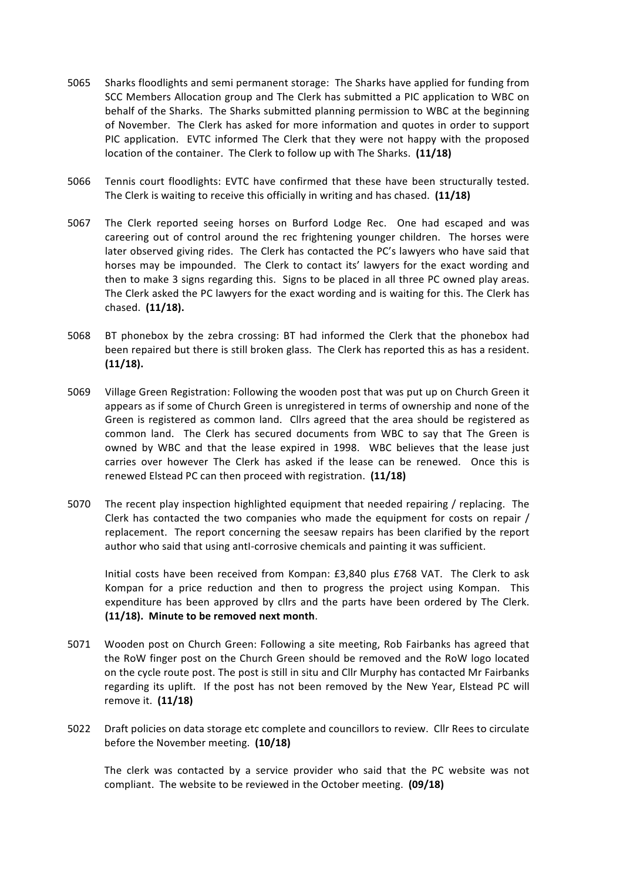- 5065 Sharks floodlights and semi permanent storage: The Sharks have applied for funding from SCC Members Allocation group and The Clerk has submitted a PIC application to WBC on behalf of the Sharks. The Sharks submitted planning permission to WBC at the beginning of November. The Clerk has asked for more information and quotes in order to support PIC application. EVTC informed The Clerk that they were not happy with the proposed location of the container. The Clerk to follow up with The Sharks. (11/18)
- 5066 Tennis court floodlights: EVTC have confirmed that these have been structurally tested. The Clerk is waiting to receive this officially in writing and has chased. **(11/18)**
- 5067 The Clerk reported seeing horses on Burford Lodge Rec. One had escaped and was careering out of control around the rec frightening younger children. The horses were later observed giving rides. The Clerk has contacted the PC's lawyers who have said that horses may be impounded. The Clerk to contact its' lawyers for the exact wording and then to make 3 signs regarding this. Signs to be placed in all three PC owned play areas. The Clerk asked the PC lawyers for the exact wording and is waiting for this. The Clerk has chased. (11/18).
- 5068 BT phonebox by the zebra crossing: BT had informed the Clerk that the phonebox had been repaired but there is still broken glass. The Clerk has reported this as has a resident. **(11/18).**
- 5069 Village Green Registration: Following the wooden post that was put up on Church Green it appears as if some of Church Green is unregistered in terms of ownership and none of the Green is registered as common land. Cllrs agreed that the area should be registered as common land. The Clerk has secured documents from WBC to say that The Green is owned by WBC and that the lease expired in 1998. WBC believes that the lease just carries over however The Clerk has asked if the lease can be renewed. Once this is renewed Elstead PC can then proceed with registration. **(11/18)**
- 5070 The recent play inspection highlighted equipment that needed repairing / replacing. The Clerk has contacted the two companies who made the equipment for costs on repair / replacement. The report concerning the seesaw repairs has been clarified by the report author who said that using anti-corrosive chemicals and painting it was sufficient.

Initial costs have been received from Kompan: £3,840 plus £768 VAT. The Clerk to ask Kompan for a price reduction and then to progress the project using Kompan. This expenditure has been approved by cllrs and the parts have been ordered by The Clerk. **(11/18). Minute to be removed next month**.

- 5071 Wooden post on Church Green: Following a site meeting, Rob Fairbanks has agreed that the RoW finger post on the Church Green should be removed and the RoW logo located on the cycle route post. The post is still in situ and Cllr Murphy has contacted Mr Fairbanks regarding its uplift. If the post has not been removed by the New Year, Elstead PC will remove it. **(11/18)**
- 5022 Draft policies on data storage etc complete and councillors to review. Cllr Rees to circulate before the November meeting. (10/18)

The clerk was contacted by a service provider who said that the PC website was not compliant. The website to be reviewed in the October meeting. (09/18)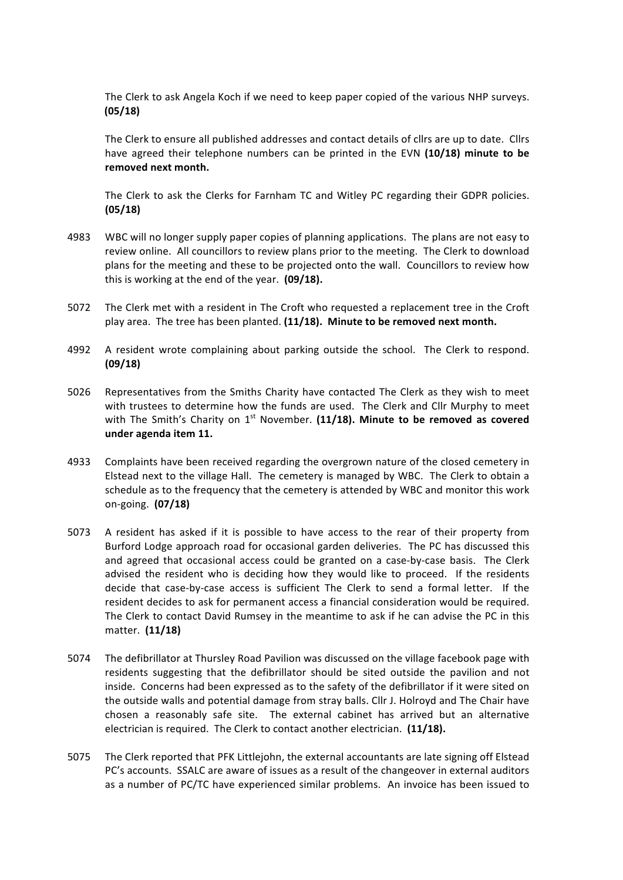The Clerk to ask Angela Koch if we need to keep paper copied of the various NHP surveys. **(05/18)**

The Clerk to ensure all published addresses and contact details of cllrs are up to date. Cllrs have agreed their telephone numbers can be printed in the EVN (10/18) minute to be removed next month.

The Clerk to ask the Clerks for Farnham TC and Witley PC regarding their GDPR policies. **(05/18)**

- 4983 WBC will no longer supply paper copies of planning applications. The plans are not easy to review online. All councillors to review plans prior to the meeting. The Clerk to download plans for the meeting and these to be projected onto the wall. Councillors to review how this is working at the end of the year. (09/18).
- 5072 The Clerk met with a resident in The Croft who requested a replacement tree in the Croft play area. The tree has been planted. (11/18). Minute to be removed next month.
- 4992 A resident wrote complaining about parking outside the school. The Clerk to respond. **(09/18)**
- 5026 Representatives from the Smiths Charity have contacted The Clerk as they wish to meet with trustees to determine how the funds are used. The Clerk and Cllr Murphy to meet with The Smith's Charity on 1<sup>st</sup> November. (11/18). Minute to be removed as covered **under agenda item 11.**
- 4933 Complaints have been received regarding the overgrown nature of the closed cemetery in Elstead next to the village Hall. The cemetery is managed by WBC. The Clerk to obtain a schedule as to the frequency that the cemetery is attended by WBC and monitor this work on-going. **(07/18)**
- 5073 A resident has asked if it is possible to have access to the rear of their property from Burford Lodge approach road for occasional garden deliveries. The PC has discussed this and agreed that occasional access could be granted on a case-by-case basis. The Clerk advised the resident who is deciding how they would like to proceed. If the residents decide that case-by-case access is sufficient The Clerk to send a formal letter. If the resident decides to ask for permanent access a financial consideration would be required. The Clerk to contact David Rumsey in the meantime to ask if he can advise the PC in this matter. **(11/18)**
- 5074 The defibrillator at Thursley Road Pavilion was discussed on the village facebook page with residents suggesting that the defibrillator should be sited outside the pavilion and not inside. Concerns had been expressed as to the safety of the defibrillator if it were sited on the outside walls and potential damage from stray balls. Cllr J. Holroyd and The Chair have chosen a reasonably safe site. The external cabinet has arrived but an alternative electrician is required. The Clerk to contact another electrician. (11/18).
- 5075 The Clerk reported that PFK Littlejohn, the external accountants are late signing off Elstead PC's accounts. SSALC are aware of issues as a result of the changeover in external auditors as a number of PC/TC have experienced similar problems. An invoice has been issued to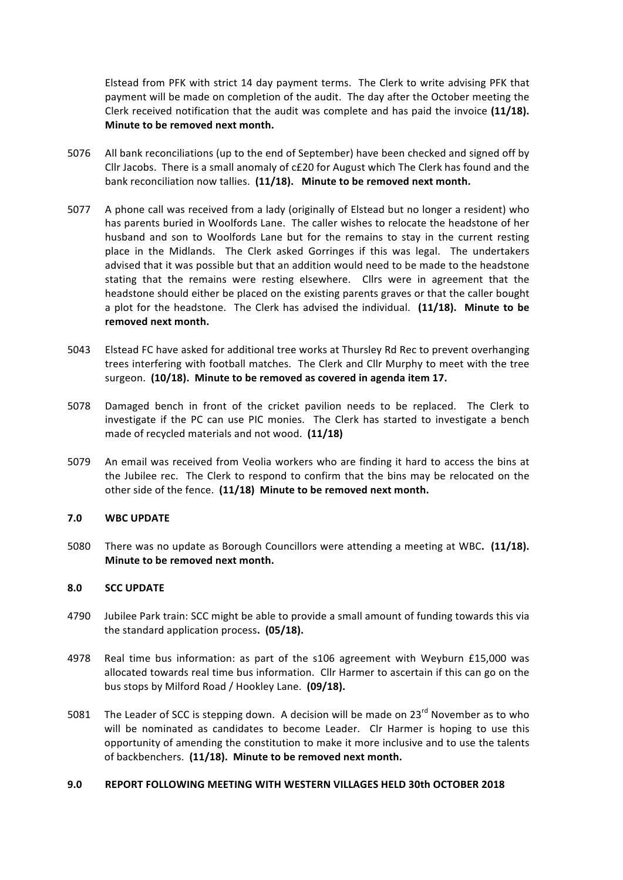Elstead from PFK with strict 14 day payment terms. The Clerk to write advising PFK that payment will be made on completion of the audit. The day after the October meeting the Clerk received notification that the audit was complete and has paid the invoice (11/18). **Minute to be removed next month.** 

- 5076 All bank reconciliations (up to the end of September) have been checked and signed off by Cllr Jacobs. There is a small anomaly of  $cE20$  for August which The Clerk has found and the bank reconciliation now tallies. (11/18). Minute to be removed next month.
- 5077 A phone call was received from a lady (originally of Elstead but no longer a resident) who has parents buried in Woolfords Lane. The caller wishes to relocate the headstone of her husband and son to Woolfords Lane but for the remains to stay in the current resting place in the Midlands. The Clerk asked Gorringes if this was legal. The undertakers advised that it was possible but that an addition would need to be made to the headstone stating that the remains were resting elsewhere. Cllrs were in agreement that the headstone should either be placed on the existing parents graves or that the caller bought a plot for the headstone. The Clerk has advised the individual. (11/18). Minute to be removed next month.
- 5043 Elstead FC have asked for additional tree works at Thursley Rd Rec to prevent overhanging trees interfering with football matches. The Clerk and Cllr Murphy to meet with the tree surgeon. (10/18). Minute to be removed as covered in agenda item 17.
- 5078 Damaged bench in front of the cricket pavilion needs to be replaced. The Clerk to investigate if the PC can use PIC monies. The Clerk has started to investigate a bench made of recycled materials and not wood. **(11/18)**
- 5079 An email was received from Veolia workers who are finding it hard to access the bins at the Jubilee rec. The Clerk to respond to confirm that the bins may be relocated on the other side of the fence. (11/18) Minute to be removed next month.

## **7.0 WBC UPDATE**

5080 There was no update as Borough Councillors were attending a meeting at WBC. (11/18). **Minute to be removed next month.** 

## **8.0 SCC UPDATE**

- 4790 Jubilee Park train: SCC might be able to provide a small amount of funding towards this via the standard application process. (05/18).
- 4978 Real time bus information: as part of the s106 agreement with Weyburn £15,000 was allocated towards real time bus information. Cllr Harmer to ascertain if this can go on the bus stops by Milford Road / Hookley Lane. (09/18).
- 5081 The Leader of SCC is stepping down. A decision will be made on  $23^{rd}$  November as to who will be nominated as candidates to become Leader. Clr Harmer is hoping to use this opportunity of amending the constitution to make it more inclusive and to use the talents of backbenchers. (11/18). Minute to be removed next month.

#### **9.0 REPORT FOLLOWING MEETING WITH WESTERN VILLAGES HELD 30th OCTOBER 2018**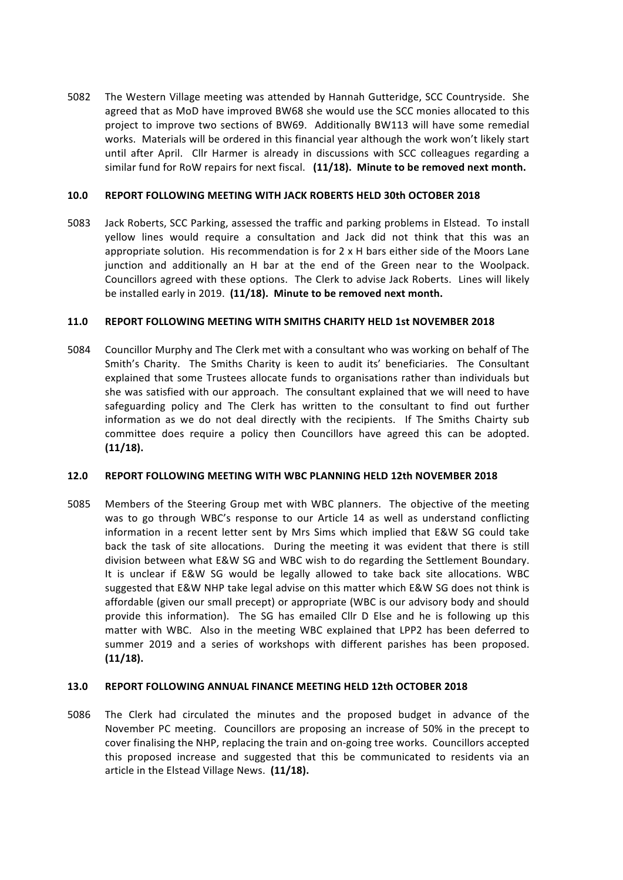5082 The Western Village meeting was attended by Hannah Gutteridge, SCC Countryside. She agreed that as MoD have improved BW68 she would use the SCC monies allocated to this project to improve two sections of BW69. Additionally BW113 will have some remedial works. Materials will be ordered in this financial year although the work won't likely start until after April. Cllr Harmer is already in discussions with SCC colleagues regarding a similar fund for RoW repairs for next fiscal. (11/18). Minute to be removed next month.

## **10.0 REPORT FOLLOWING MEETING WITH JACK ROBERTS HELD 30th OCTOBER 2018**

5083 Jack Roberts, SCC Parking, assessed the traffic and parking problems in Elstead. To install vellow lines would require a consultation and Jack did not think that this was an appropriate solution. His recommendation is for  $2 \times H$  bars either side of the Moors Lane junction and additionally an H bar at the end of the Green near to the Woolpack. Councillors agreed with these options. The Clerk to advise Jack Roberts. Lines will likely be installed early in 2019. (11/18). Minute to be removed next month.

#### **11.0 REPORT FOLLOWING MEETING WITH SMITHS CHARITY HELD 1st NOVEMBER 2018**

5084 Councillor Murphy and The Clerk met with a consultant who was working on behalf of The Smith's Charity. The Smiths Charity is keen to audit its' beneficiaries. The Consultant explained that some Trustees allocate funds to organisations rather than individuals but she was satisfied with our approach. The consultant explained that we will need to have safeguarding policy and The Clerk has written to the consultant to find out further information as we do not deal directly with the recipients. If The Smiths Chairty sub committee does require a policy then Councillors have agreed this can be adopted. **(11/18).**

## **12.0 REPORT FOLLOWING MEETING WITH WBC PLANNING HELD 12th NOVEMBER 2018**

5085 Members of the Steering Group met with WBC planners. The objective of the meeting was to go through WBC's response to our Article 14 as well as understand conflicting information in a recent letter sent by Mrs Sims which implied that E&W SG could take back the task of site allocations. During the meeting it was evident that there is still division between what E&W SG and WBC wish to do regarding the Settlement Boundary. It is unclear if E&W SG would be legally allowed to take back site allocations. WBC suggested that E&W NHP take legal advise on this matter which E&W SG does not think is affordable (given our small precept) or appropriate (WBC is our advisory body and should provide this information). The SG has emailed Cllr D Else and he is following up this matter with WBC. Also in the meeting WBC explained that LPP2 has been deferred to summer 2019 and a series of workshops with different parishes has been proposed. **(11/18).**

## **13.0 REPORT FOLLOWING ANNUAL FINANCE MEETING HELD 12th OCTOBER 2018**

5086 The Clerk had circulated the minutes and the proposed budget in advance of the November PC meeting. Councillors are proposing an increase of 50% in the precept to cover finalising the NHP, replacing the train and on-going tree works. Councillors accepted this proposed increase and suggested that this be communicated to residents via an article in the Elstead Village News. (11/18).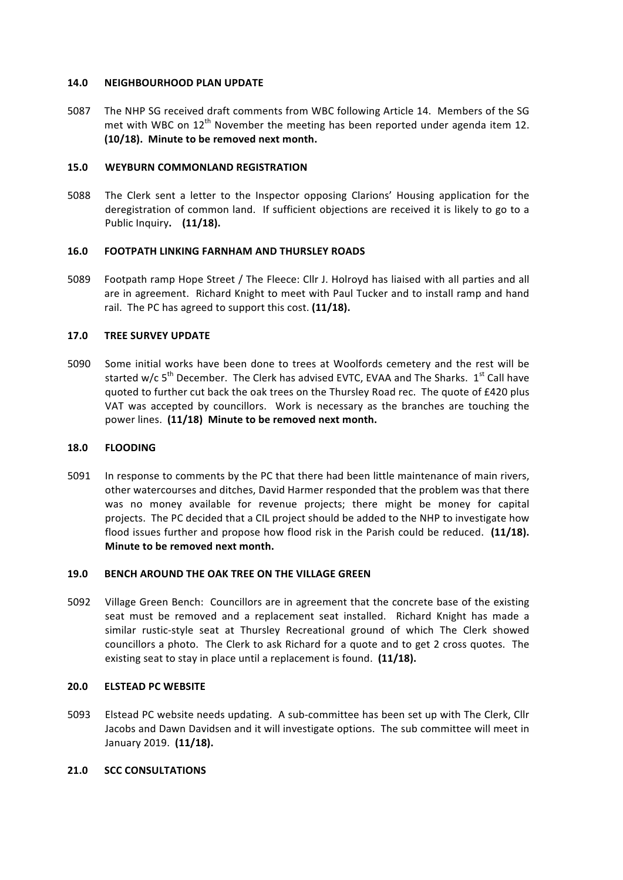#### **14.0 NEIGHBOURHOOD PLAN UPDATE**

5087 The NHP SG received draft comments from WBC following Article 14. Members of the SG met with WBC on  $12^{th}$  November the meeting has been reported under agenda item 12. (10/18). Minute to be removed next month.

#### **15.0 WEYBURN COMMONLAND REGISTRATION**

5088 The Clerk sent a letter to the Inspector opposing Clarions' Housing application for the deregistration of common land. If sufficient objections are received it is likely to go to a Public Inquiry. (11/18).

## **16.0 FOOTPATH LINKING FARNHAM AND THURSLEY ROADS**

5089 Footpath ramp Hope Street / The Fleece: Cllr J. Holroyd has liaised with all parties and all are in agreement. Richard Knight to meet with Paul Tucker and to install ramp and hand rail. The PC has agreed to support this cost. **(11/18).** 

#### **17.0 TREE SURVEY UPDATE**

5090 Some initial works have been done to trees at Woolfords cemetery and the rest will be started w/c  $5<sup>th</sup>$  December. The Clerk has advised EVTC, EVAA and The Sharks.  $1<sup>st</sup>$  Call have quoted to further cut back the oak trees on the Thursley Road rec. The quote of £420 plus VAT was accepted by councillors. Work is necessary as the branches are touching the power lines. (11/18) Minute to be removed next month.

## **18.0 FLOODING**

5091 In response to comments by the PC that there had been little maintenance of main rivers, other watercourses and ditches, David Harmer responded that the problem was that there was no money available for revenue projects; there might be money for capital projects. The PC decided that a CIL project should be added to the NHP to investigate how flood issues further and propose how flood risk in the Parish could be reduced. (11/18). **Minute to be removed next month.** 

## **19.0 BENCH AROUND THE OAK TREE ON THE VILLAGE GREEN**

5092 Village Green Bench: Councillors are in agreement that the concrete base of the existing seat must be removed and a replacement seat installed. Richard Knight has made a similar rustic-style seat at Thursley Recreational ground of which The Clerk showed councillors a photo. The Clerk to ask Richard for a quote and to get 2 cross quotes. The existing seat to stay in place until a replacement is found. (11/18).

## **20.0 ELSTEAD PC WEBSITE**

5093 Elstead PC website needs updating. A sub-committee has been set up with The Clerk, Cllr Jacobs and Dawn Davidsen and it will investigate options. The sub committee will meet in January 2019. (11/18).

## **21.0 SCC CONSULTATIONS**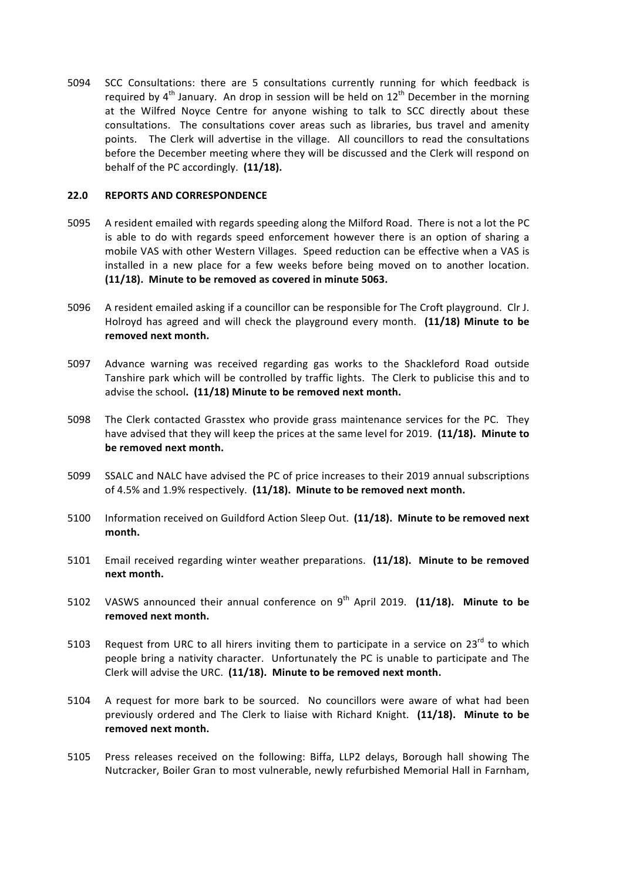5094 SCC Consultations: there are 5 consultations currently running for which feedback is required by  $4<sup>th</sup>$  January. An drop in session will be held on  $12<sup>th</sup>$  December in the morning at the Wilfred Noyce Centre for anyone wishing to talk to SCC directly about these consultations. The consultations cover areas such as libraries, bus travel and amenity points. The Clerk will advertise in the village. All councillors to read the consultations before the December meeting where they will be discussed and the Clerk will respond on behalf of the PC accordingly. (11/18).

#### **22.0 REPORTS AND CORRESPONDENCE**

- 5095 A resident emailed with regards speeding along the Milford Road. There is not a lot the PC is able to do with regards speed enforcement however there is an option of sharing a mobile VAS with other Western Villages. Speed reduction can be effective when a VAS is installed in a new place for a few weeks before being moved on to another location. (11/18). Minute to be removed as covered in minute 5063.
- 5096 A resident emailed asking if a councillor can be responsible for The Croft playground. Clr J. Holroyd has agreed and will check the playground every month. (11/18) Minute to be removed next month.
- 5097 Advance warning was received regarding gas works to the Shackleford Road outside Tanshire park which will be controlled by traffic lights. The Clerk to publicise this and to advise the school. (11/18) Minute to be removed next month.
- 5098 The Clerk contacted Grasstex who provide grass maintenance services for the PC. They have advised that they will keep the prices at the same level for 2019. (11/18). Minute to be removed next month.
- 5099 SSALC and NALC have advised the PC of price increases to their 2019 annual subscriptions of 4.5% and 1.9% respectively. (11/18). Minute to be removed next month.
- 5100 Information received on Guildford Action Sleep Out. (11/18). Minute to be removed next **month.**
- 5101 Email received regarding winter weather preparations. (11/18). Minute to be removed **next month.**
- 5102 VASWS announced their annual conference on 9<sup>th</sup> April 2019. **(11/18). Minute to be** removed next month.
- 5103 Request from URC to all hirers inviting them to participate in a service on  $23<sup>rd</sup>$  to which people bring a nativity character. Unfortunately the PC is unable to participate and The Clerk will advise the URC. (11/18). Minute to be removed next month.
- 5104 A request for more bark to be sourced. No councillors were aware of what had been previously ordered and The Clerk to liaise with Richard Knight. (11/18). Minute to be removed next month.
- 5105 Press releases received on the following: Biffa, LLP2 delays, Borough hall showing The Nutcracker, Boiler Gran to most vulnerable, newly refurbished Memorial Hall in Farnham,